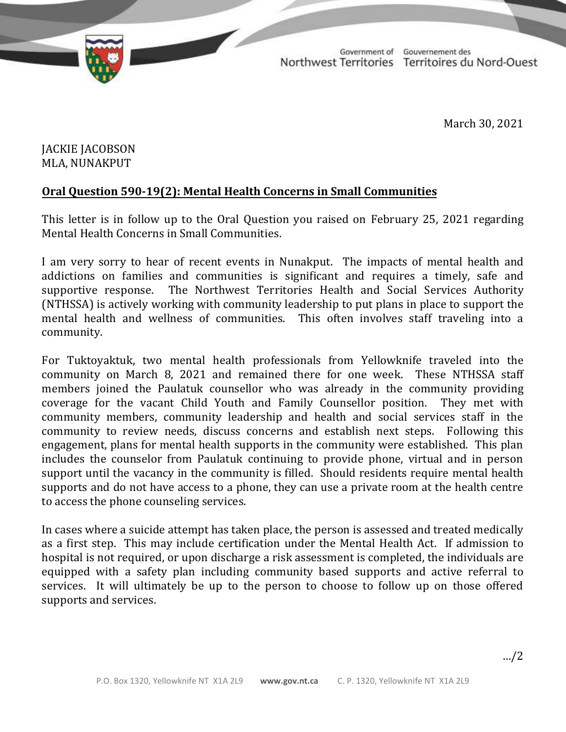

TD 377-19(2) TABLED ON MARCH 31, 2021

Government of Gouvernement des Northwest Territories Territoires du Nord-Ouest

March 30, 2021

## JACKIE JACOBSON MLA, NUNAKPUT

## **Oral Question 590-19(2): Mental Health Concerns in Small Communities**

This letter is in follow up to the Oral Question you raised on February 25, 2021 regarding Mental Health Concerns in Small Communities.

I am very sorry to hear of recent events in Nunakput. The impacts of mental health and addictions on families and communities is significant and requires a timely, safe and supportive response. The Northwest Territories Health and Social Services Authority (NTHSSA) is actively working with community leadership to put plans in place to support the mental health and wellness of communities. This often involves staff traveling into a community.

For Tuktoyaktuk, two mental health professionals from Yellowknife traveled into the community on March 8, 2021 and remained there for one week. These NTHSSA staff members joined the Paulatuk counsellor who was already in the community providing coverage for the vacant Child Youth and Family Counsellor position. They met with community members, community leadership and health and social services staff in the community to review needs, discuss concerns and establish next steps. Following this engagement, plans for mental health supports in the community were established. This plan includes the counselor from Paulatuk continuing to provide phone, virtual and in person support until the vacancy in the community is filled. Should residents require mental health supports and do not have access to a phone, they can use a private room at the health centre to access the phone counseling services.

In cases where a suicide attempt has taken place, the person is assessed and treated medically as a first step. This may include certification under the Mental Health Act. If admission to hospital is not required, or upon discharge a risk assessment is completed, the individuals are equipped with a safety plan including community based supports and active referral to services. It will ultimately be up to the person to choose to follow up on those offered supports and services.